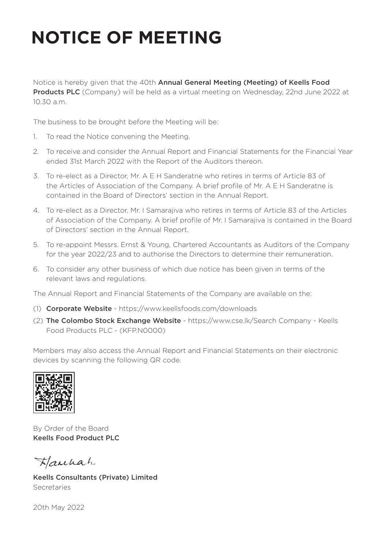## **NOTICE OF MEETING**

Notice is hereby given that the 40th Annual General Meeting (Meeting) of Keells Food Products PLC (Company) will be held as a virtual meeting on Wednesday, 22nd June 2022 at 10.30 a.m.

The business to be brought before the Meeting will be:

- 1. To read the Notice convening the Meeting.
- 2. To receive and consider the Annual Report and Financial Statements for the Financial Year ended 31st March 2022 with the Report of the Auditors thereon.
- 3. To re-elect as a Director, Mr. A E H Sanderatne who retires in terms of Article 83 of the Articles of Association of the Company. A brief profile of Mr. A E H Sanderatne is contained in the Board of Directors' section in the Annual Report.
- 4. To re-elect as a Director, Mr. I Samarajiva who retires in terms of Article 83 of the Articles of Association of the Company. A brief profile of Mr. I Samarajiva is contained in the Board of Directors' section in the Annual Report.
- 5. To re-appoint Messrs. Ernst & Young, Chartered Accountants as Auditors of the Company for the year 2022/23 and to authorise the Directors to determine their remuneration.
- 6. To consider any other business of which due notice has been given in terms of the relevant laws and regulations.

The Annual Report and Financial Statements of the Company are available on the:

- (1) Corporate Website https://www.keellsfoods.com/downloads
- (2) The Colombo Stock Exchange Website https://www.cse.lk/Search Company Keells Food Products PLC - (KFP.N0000)

Members may also access the Annual Report and Financial Statements on their electronic devices by scanning the following QR code.



By Order of the Board Keells Food Product PLC

Hanhah

Keells Consultants (Private) Limited Secretaries

20th May 2022